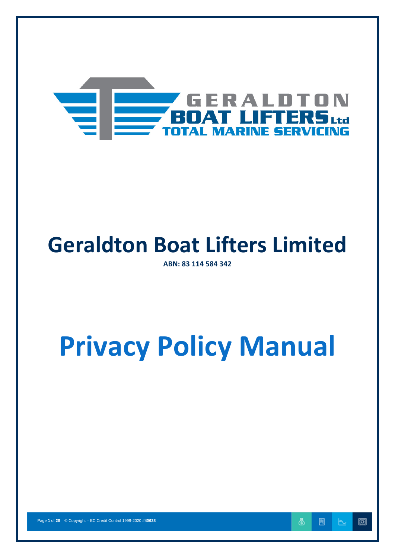

## **Geraldton Boat Lifters Limited**

**ABN: 83 114 584 342**

# **Privacy Policy Manual**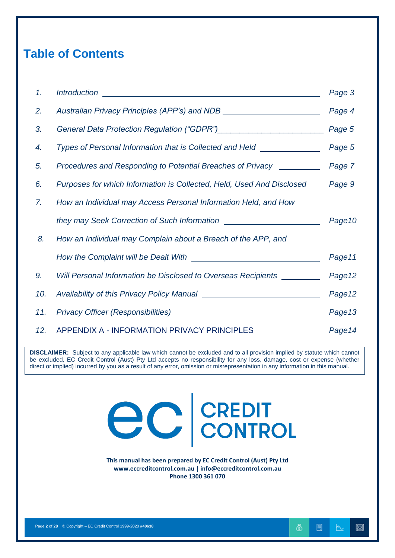## **Table of Contents**

| 1.  | <b>Introduction</b><br><u> 1980 - Jan James James Barbara, martxa a fizikar a</u>                       | Page 3  |
|-----|---------------------------------------------------------------------------------------------------------|---------|
| 2.  | Australian Privacy Principles (APP's) and NDB __________________________________                        | Page 4  |
| 3.  |                                                                                                         | Page 5  |
| 4.  | Types of Personal Information that is Collected and Held ______________                                 | Page 5  |
| 5.  | Procedures and Responding to Potential Breaches of Privacy __________                                   | Page 7  |
| 6.  | Purposes for which Information is Collected, Held, Used And Disclosed __                                | Page 9  |
| 7.  | How an Individual may Access Personal Information Held, and How                                         |         |
|     | they may Seek Correction of Such Information <b>contains the set of the contact of Such Information</b> | Page10  |
| 8.  | How an Individual may Complain about a Breach of the APP, and                                           |         |
|     |                                                                                                         | Page11  |
| 9.  | Will Personal Information be Disclosed to Overseas Recipients __________                                | Page 12 |
| 10. |                                                                                                         | Page 12 |
| 11. |                                                                                                         | Page13  |
| 12. | APPENDIX A - INFORMATION PRIVACY PRINCIPLES                                                             | Page14  |

**DISCLAIMER:** Subject to any applicable law which cannot be excluded and to all provision implied by statute which cannot be excluded, EC Credit Control (Aust) Pty Ltd accepts no responsibility for any loss, damage, cost or expense (whether direct or implied) incurred by you as a result of any error, omission or misrepresentation in any information in this manual.

**This manual has been prepared by EC Credit Control (Aust) Pty Ltd www.eccreditcontrol.com.au | info@eccreditcontrol.com.au Phone 1300 361 070**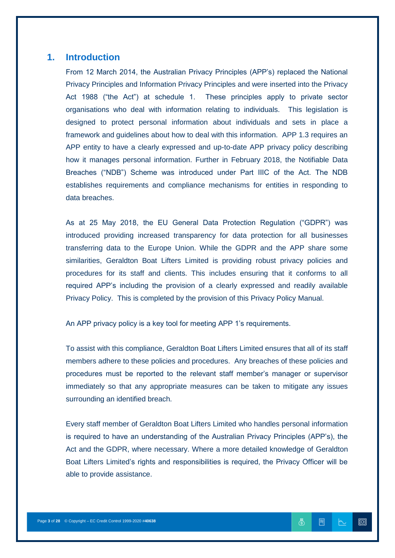## **1. Introduction**

From 12 March 2014, the Australian Privacy Principles (APP's) replaced the National Privacy Principles and Information Privacy Principles and were inserted into the Privacy Act 1988 ("the Act") at schedule 1. These principles apply to private sector organisations who deal with information relating to individuals. This legislation is designed to protect personal information about individuals and sets in place a framework and guidelines about how to deal with this information. APP 1.3 requires an APP entity to have a clearly expressed and up-to-date APP privacy policy describing how it manages personal information. Further in February 2018, the Notifiable Data Breaches ("NDB") Scheme was introduced under Part IIIC of the Act. The NDB establishes requirements and compliance mechanisms for entities in responding to data breaches.

As at 25 May 2018, the EU General Data Protection Regulation ("GDPR") was introduced providing increased transparency for data protection for all businesses transferring data to the Europe Union. While the GDPR and the APP share some similarities, Geraldton Boat Lifters Limited is providing robust privacy policies and procedures for its staff and clients. This includes ensuring that it conforms to all required APP's including the provision of a clearly expressed and readily available Privacy Policy. This is completed by the provision of this Privacy Policy Manual.

An APP privacy policy is a key tool for meeting APP 1's requirements.

To assist with this compliance, Geraldton Boat Lifters Limited ensures that all of its staff members adhere to these policies and procedures. Any breaches of these policies and procedures must be reported to the relevant staff member's manager or supervisor immediately so that any appropriate measures can be taken to mitigate any issues surrounding an identified breach.

Every staff member of Geraldton Boat Lifters Limited who handles personal information is required to have an understanding of the Australian Privacy Principles (APP's), the Act and the GDPR, where necessary. Where a more detailed knowledge of Geraldton Boat Lifters Limited's rights and responsibilities is required, the Privacy Officer will be able to provide assistance.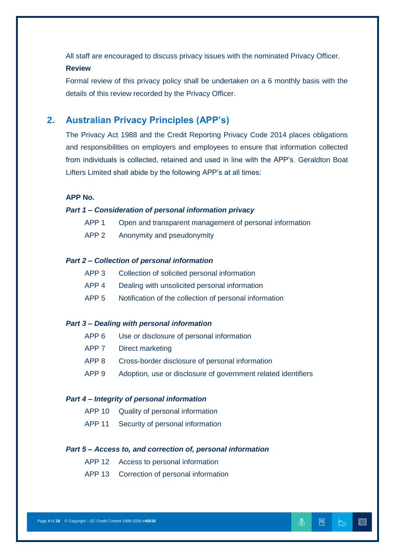All staff are encouraged to discuss privacy issues with the nominated Privacy Officer. **Review**

Formal review of this privacy policy shall be undertaken on a 6 monthly basis with the details of this review recorded by the Privacy Officer.

## **2. Australian Privacy Principles (APP's)**

The Privacy Act 1988 and the Credit Reporting Privacy Code 2014 places obligations and responsibilities on employers and employees to ensure that information collected from individuals is collected, retained and used in line with the APP's. Geraldton Boat Lifters Limited shall abide by the following APP's at all times:

#### **APP No.**

#### *Part 1 – Consideration of personal information privacy*

- APP 1 Open and transparent management of personal information
- APP 2 Anonymity and pseudonymity

#### *Part 2 – Collection of personal information*

- APP 3 Collection of solicited personal information
- APP 4 Dealing with unsolicited personal information
- APP 5 Notification of the collection of personal information

#### *Part 3 – Dealing with personal information*

- APP 6 Use or disclosure of personal information
- APP 7 Direct marketing
- APP 8 Cross-border disclosure of personal information
- APP 9 Adoption, use or disclosure of government related identifiers

#### *Part 4 – Integrity of personal information*

- APP 10 Quality of personal information
- APP 11 Security of personal information

#### *Part 5 – Access to, and correction of, personal information*

- APP 12 Access to personal information
- APP 13 Correction of personal information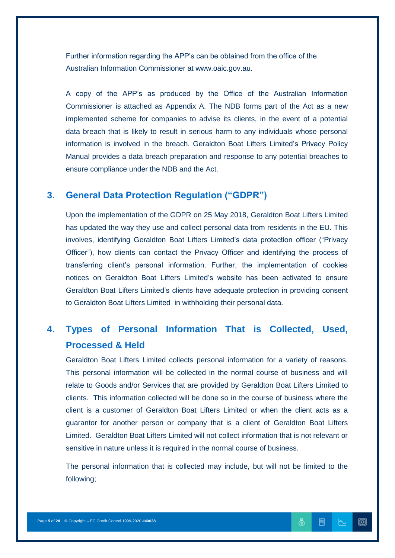Further information regarding the APP's can be obtained from the office of the Australian Information Commissioner at www.oaic.gov.au.

A copy of the APP's as produced by the Office of the Australian Information Commissioner is attached as Appendix A. The NDB forms part of the Act as a new implemented scheme for companies to advise its clients, in the event of a potential data breach that is likely to result in serious harm to any individuals whose personal information is involved in the breach. Geraldton Boat Lifters Limited's Privacy Policy Manual provides a data breach preparation and response to any potential breaches to ensure compliance under the NDB and the Act.

#### **3. General Data Protection Regulation ("GDPR")**

Upon the implementation of the GDPR on 25 May 2018, Geraldton Boat Lifters Limited has updated the way they use and collect personal data from residents in the EU. This involves, identifying Geraldton Boat Lifters Limited's data protection officer ("Privacy Officer"), how clients can contact the Privacy Officer and identifying the process of transferring client's personal information. Further, the implementation of cookies notices on Geraldton Boat Lifters Limited's website has been activated to ensure Geraldton Boat Lifters Limited's clients have adequate protection in providing consent to Geraldton Boat Lifters Limited in withholding their personal data.

## **4. Types of Personal Information That is Collected, Used, Processed & Held**

Geraldton Boat Lifters Limited collects personal information for a variety of reasons. This personal information will be collected in the normal course of business and will relate to Goods and/or Services that are provided by Geraldton Boat Lifters Limited to clients. This information collected will be done so in the course of business where the client is a customer of Geraldton Boat Lifters Limited or when the client acts as a guarantor for another person or company that is a client of Geraldton Boat Lifters Limited. Geraldton Boat Lifters Limited will not collect information that is not relevant or sensitive in nature unless it is required in the normal course of business.

The personal information that is collected may include, but will not be limited to the following;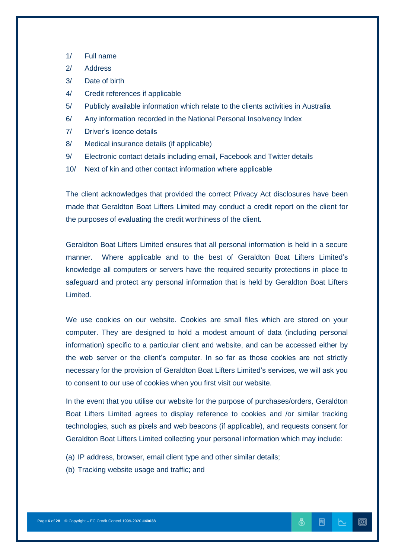- 1/ Full name
- 2/ Address
- 3/ Date of birth
- 4/ Credit references if applicable
- 5/ Publicly available information which relate to the clients activities in Australia
- 6/ Any information recorded in the National Personal Insolvency Index
- 7/ Driver's licence details
- 8/ Medical insurance details (if applicable)
- 9/ Electronic contact details including email, Facebook and Twitter details
- 10/ Next of kin and other contact information where applicable

The client acknowledges that provided the correct Privacy Act disclosures have been made that Geraldton Boat Lifters Limited may conduct a credit report on the client for the purposes of evaluating the credit worthiness of the client.

Geraldton Boat Lifters Limited ensures that all personal information is held in a secure manner. Where applicable and to the best of Geraldton Boat Lifters Limited's knowledge all computers or servers have the required security protections in place to safeguard and protect any personal information that is held by Geraldton Boat Lifters Limited.

We use cookies on our website. Cookies are small files which are stored on your computer. They are designed to hold a modest amount of data (including personal information) specific to a particular client and website, and can be accessed either by the web server or the client's computer. In so far as those cookies are not strictly necessary for the provision of Geraldton Boat Lifters Limited's services, we will ask you to consent to our use of cookies when you first visit our website.

In the event that you utilise our website for the purpose of purchases/orders, Geraldton Boat Lifters Limited agrees to display reference to cookies and /or similar tracking technologies, such as pixels and web beacons (if applicable), and requests consent for Geraldton Boat Lifters Limited collecting your personal information which may include:

- (a) IP address, browser, email client type and other similar details;
- (b) Tracking website usage and traffic; and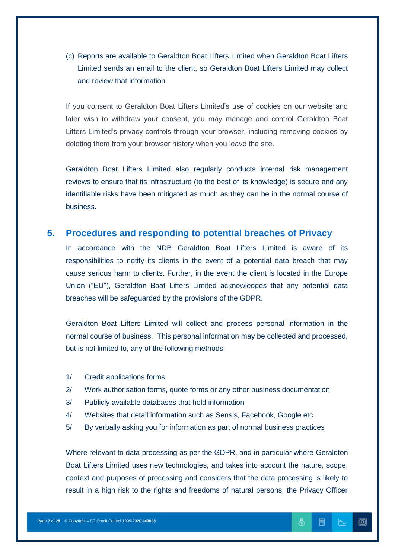(c) Reports are available to Geraldton Boat Lifters Limited when Geraldton Boat Lifters Limited sends an email to the client, so Geraldton Boat Lifters Limited may collect and review that information

If you consent to Geraldton Boat Lifters Limited's use of cookies on our website and later wish to withdraw your consent, you may manage and control Geraldton Boat Lifters Limited's privacy controls through your browser, including removing cookies by deleting them from your browser history when you leave the site.

Geraldton Boat Lifters Limited also regularly conducts internal risk management reviews to ensure that its infrastructure (to the best of its knowledge) is secure and any identifiable risks have been mitigated as much as they can be in the normal course of business.

#### **5. Procedures and responding to potential breaches of Privacy**

In accordance with the NDB Geraldton Boat Lifters Limited is aware of its responsibilities to notify its clients in the event of a potential data breach that may cause serious harm to clients. Further, in the event the client is located in the Europe Union ("EU"), Geraldton Boat Lifters Limited acknowledges that any potential data breaches will be safeguarded by the provisions of the GDPR.

Geraldton Boat Lifters Limited will collect and process personal information in the normal course of business. This personal information may be collected and processed, but is not limited to, any of the following methods;

- 1/ Credit applications forms
- 2/ Work authorisation forms, quote forms or any other business documentation
- 3/ Publicly available databases that hold information
- 4/ Websites that detail information such as Sensis, Facebook, Google etc
- 5/ By verbally asking you for information as part of normal business practices

Where relevant to data processing as per the GDPR, and in particular where Geraldton Boat Lifters Limited uses new technologies, and takes into account the nature, scope, context and purposes of processing and considers that the data processing is likely to result in a high risk to the rights and freedoms of natural persons, the Privacy Officer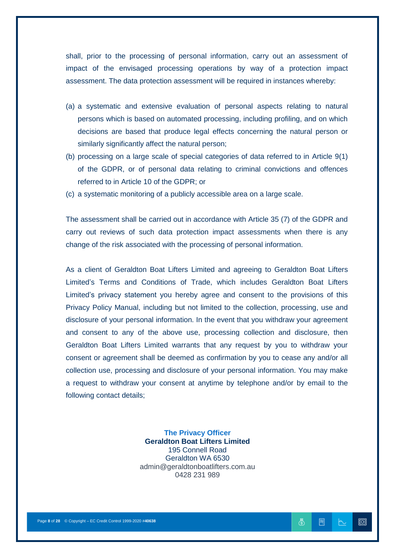shall, prior to the processing of personal information, carry out an assessment of impact of the envisaged processing operations by way of a protection impact assessment. The data protection assessment will be required in instances whereby:

- (a) a systematic and extensive evaluation of personal aspects relating to natural persons which is based on automated processing, including profiling, and on which decisions are based that produce legal effects concerning the natural person or similarly significantly affect the natural person;
- (b) processing on a large scale of special categories of data referred to in Article 9(1) of the GDPR, or of personal data relating to criminal convictions and offences referred to in Article 10 of the GDPR; or
- (c) a systematic monitoring of a publicly accessible area on a large scale.

The assessment shall be carried out in accordance with Article 35 (7) of the GDPR and carry out reviews of such data protection impact assessments when there is any change of the risk associated with the processing of personal information.

As a client of Geraldton Boat Lifters Limited and agreeing to Geraldton Boat Lifters Limited's Terms and Conditions of Trade, which includes Geraldton Boat Lifters Limited's privacy statement you hereby agree and consent to the provisions of this Privacy Policy Manual, including but not limited to the collection, processing, use and disclosure of your personal information. In the event that you withdraw your agreement and consent to any of the above use, processing collection and disclosure, then Geraldton Boat Lifters Limited warrants that any request by you to withdraw your consent or agreement shall be deemed as confirmation by you to cease any and/or all collection use, processing and disclosure of your personal information. You may make a request to withdraw your consent at anytime by telephone and/or by email to the following contact details;

> **The Privacy Officer Geraldton Boat Lifters Limited** 195 Connell Road Geraldton WA 6530 admin@geraldtonboatlifters.com.au 0428 231 989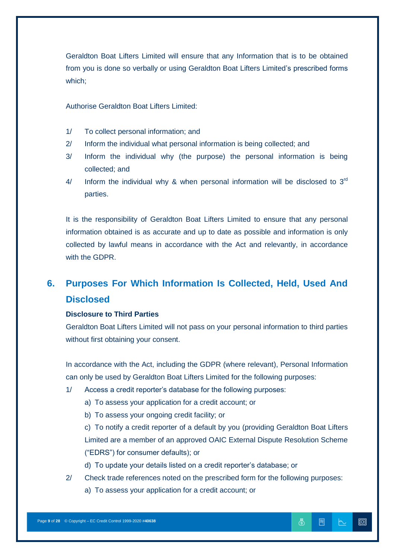Geraldton Boat Lifters Limited will ensure that any Information that is to be obtained from you is done so verbally or using Geraldton Boat Lifters Limited's prescribed forms which;

Authorise Geraldton Boat Lifters Limited:

- 1/ To collect personal information; and
- 2/ Inform the individual what personal information is being collected; and
- 3/ Inform the individual why (the purpose) the personal information is being collected; and
- 4/ Inform the individual why & when personal information will be disclosed to  $3<sup>rd</sup>$ parties.

It is the responsibility of Geraldton Boat Lifters Limited to ensure that any personal information obtained is as accurate and up to date as possible and information is only collected by lawful means in accordance with the Act and relevantly, in accordance with the GDPR.

## **6. Purposes For Which Information Is Collected, Held, Used And Disclosed**

#### **Disclosure to Third Parties**

Geraldton Boat Lifters Limited will not pass on your personal information to third parties without first obtaining your consent.

In accordance with the Act, including the GDPR (where relevant), Personal Information can only be used by Geraldton Boat Lifters Limited for the following purposes:

- 1/ Access a credit reporter's database for the following purposes:
	- a) To assess your application for a credit account; or
	- b) To assess your ongoing credit facility; or
	- c) To notify a credit reporter of a default by you (providing Geraldton Boat Lifters Limited are a member of an approved OAIC External Dispute Resolution Scheme ("EDRS") for consumer defaults); or
	- d) To update your details listed on a credit reporter's database; or
- 2/ Check trade references noted on the prescribed form for the following purposes:
	- a) To assess your application for a credit account; or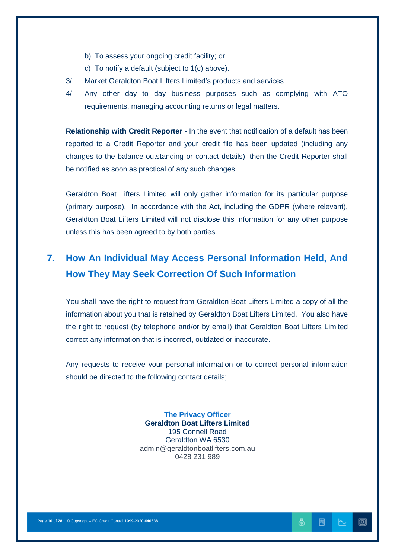- b) To assess your ongoing credit facility; or
- c) To notify a default (subject to 1(c) above).
- 3/ Market Geraldton Boat Lifters Limited's products and services.
- 4/ Any other day to day business purposes such as complying with ATO requirements, managing accounting returns or legal matters.

**Relationship with Credit Reporter** - In the event that notification of a default has been reported to a Credit Reporter and your credit file has been updated (including any changes to the balance outstanding or contact details), then the Credit Reporter shall be notified as soon as practical of any such changes.

Geraldton Boat Lifters Limited will only gather information for its particular purpose (primary purpose). In accordance with the Act, including the GDPR (where relevant), Geraldton Boat Lifters Limited will not disclose this information for any other purpose unless this has been agreed to by both parties.

## **7. How An Individual May Access Personal Information Held, And How They May Seek Correction Of Such Information**

You shall have the right to request from Geraldton Boat Lifters Limited a copy of all the information about you that is retained by Geraldton Boat Lifters Limited. You also have the right to request (by telephone and/or by email) that Geraldton Boat Lifters Limited correct any information that is incorrect, outdated or inaccurate.

Any requests to receive your personal information or to correct personal information should be directed to the following contact details;

> **The Privacy Officer Geraldton Boat Lifters Limited** 195 Connell Road Geraldton WA 6530 admin@geraldtonboatlifters.com.au 0428 231 989

> > ౷

闁

回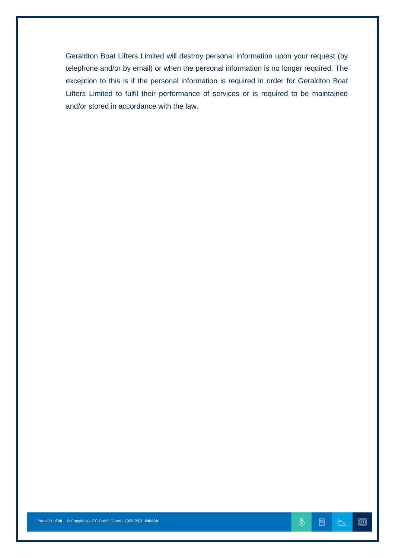Geraldton Boat Lifters Limited will destroy personal information upon your request (by telephone and/or by email) or when the personal information is no longer required. The exception to this is if the personal information is required in order for Geraldton Boat Lifters Limited to fulfil their performance of services or is required to be maintained and/or stored in accordance with the law.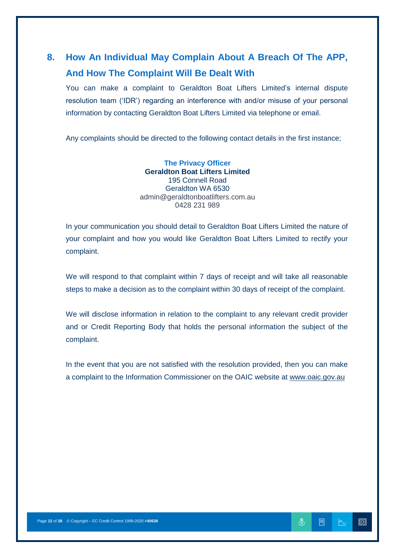## **8. How An Individual May Complain About A Breach Of The APP, And How The Complaint Will Be Dealt With**

You can make a complaint to Geraldton Boat Lifters Limited's internal dispute resolution team ('IDR') regarding an interference with and/or misuse of your personal information by contacting Geraldton Boat Lifters Limited via telephone or email.

Any complaints should be directed to the following contact details in the first instance;

#### **The Privacy Officer Geraldton Boat Lifters Limited** 195 Connell Road Geraldton WA 6530 admin@geraldtonboatlifters.com.au 0428 231 989

In your communication you should detail to Geraldton Boat Lifters Limited the nature of your complaint and how you would like Geraldton Boat Lifters Limited to rectify your complaint.

We will respond to that complaint within 7 days of receipt and will take all reasonable steps to make a decision as to the complaint within 30 days of receipt of the complaint.

We will disclose information in relation to the complaint to any relevant credit provider and or Credit Reporting Body that holds the personal information the subject of the complaint.

In the event that you are not satisfied with the resolution provided, then you can make a complaint to the Information Commissioner on the OAIC website at www.oaic.gov.au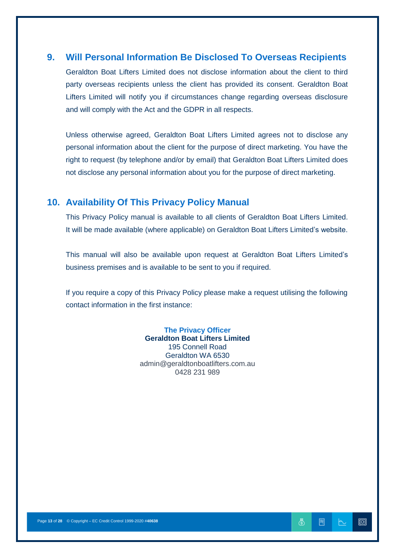## **9. Will Personal Information Be Disclosed To Overseas Recipients**

Geraldton Boat Lifters Limited does not disclose information about the client to third party overseas recipients unless the client has provided its consent. Geraldton Boat Lifters Limited will notify you if circumstances change regarding overseas disclosure and will comply with the Act and the GDPR in all respects.

Unless otherwise agreed, Geraldton Boat Lifters Limited agrees not to disclose any personal information about the client for the purpose of direct marketing. You have the right to request (by telephone and/or by email) that Geraldton Boat Lifters Limited does not disclose any personal information about you for the purpose of direct marketing.

## **10. Availability Of This Privacy Policy Manual**

This Privacy Policy manual is available to all clients of Geraldton Boat Lifters Limited. It will be made available (where applicable) on Geraldton Boat Lifters Limited's website.

This manual will also be available upon request at Geraldton Boat Lifters Limited's business premises and is available to be sent to you if required.

If you require a copy of this Privacy Policy please make a request utilising the following contact information in the first instance:

> **The Privacy Officer Geraldton Boat Lifters Limited** 195 Connell Road Geraldton WA 6530 admin@geraldtonboatlifters.com.au 0428 231 989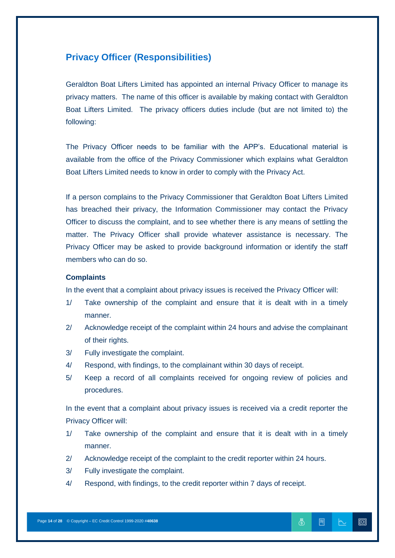## **Privacy Officer (Responsibilities)**

Geraldton Boat Lifters Limited has appointed an internal Privacy Officer to manage its privacy matters. The name of this officer is available by making contact with Geraldton Boat Lifters Limited. The privacy officers duties include (but are not limited to) the following:

The Privacy Officer needs to be familiar with the APP's. Educational material is available from the office of the Privacy Commissioner which explains what Geraldton Boat Lifters Limited needs to know in order to comply with the Privacy Act.

If a person complains to the Privacy Commissioner that Geraldton Boat Lifters Limited has breached their privacy, the Information Commissioner may contact the Privacy Officer to discuss the complaint, and to see whether there is any means of settling the matter. The Privacy Officer shall provide whatever assistance is necessary. The Privacy Officer may be asked to provide background information or identify the staff members who can do so.

#### **Complaints**

In the event that a complaint about privacy issues is received the Privacy Officer will:

- 1/ Take ownership of the complaint and ensure that it is dealt with in a timely manner.
- 2/ Acknowledge receipt of the complaint within 24 hours and advise the complainant of their rights.
- 3/ Fully investigate the complaint.
- 4/ Respond, with findings, to the complainant within 30 days of receipt.
- 5/ Keep a record of all complaints received for ongoing review of policies and procedures.

In the event that a complaint about privacy issues is received via a credit reporter the Privacy Officer will:

- 1/ Take ownership of the complaint and ensure that it is dealt with in a timely manner.
- 2/ Acknowledge receipt of the complaint to the credit reporter within 24 hours.
- 3/ Fully investigate the complaint.
- 4/ Respond, with findings, to the credit reporter within 7 days of receipt.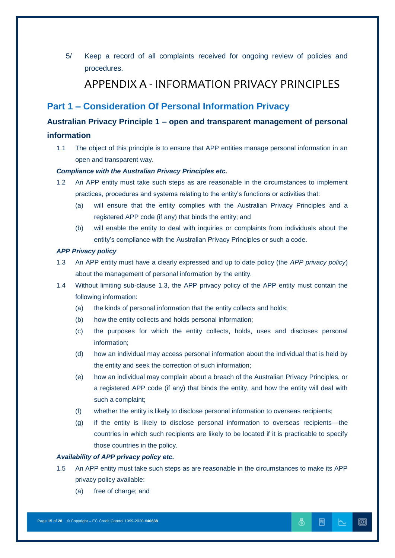5/ Keep a record of all complaints received for ongoing review of policies and procedures.

## APPENDIX A - INFORMATION PRIVACY PRINCIPLES

## **Part 1 – Consideration Of Personal Information Privacy**

## **Australian Privacy Principle 1 – open and transparent management of personal information**

1.1 The object of this principle is to ensure that APP entities manage personal information in an open and transparent way.

#### *Compliance with the Australian Privacy Principles etc.*

- 1.2 An APP entity must take such steps as are reasonable in the circumstances to implement practices, procedures and systems relating to the entity's functions or activities that:
	- (a) will ensure that the entity complies with the Australian Privacy Principles and a registered APP code (if any) that binds the entity; and
	- (b) will enable the entity to deal with inquiries or complaints from individuals about the entity's compliance with the Australian Privacy Principles or such a code.

#### *APP Privacy policy*

- 1.3 An APP entity must have a clearly expressed and up to date policy (the *APP privacy policy*) about the management of personal information by the entity.
- 1.4 Without limiting sub-clause 1.3, the APP privacy policy of the APP entity must contain the following information:
	- (a) the kinds of personal information that the entity collects and holds;
	- (b) how the entity collects and holds personal information;
	- (c) the purposes for which the entity collects, holds, uses and discloses personal information;
	- (d) how an individual may access personal information about the individual that is held by the entity and seek the correction of such information;
	- (e) how an individual may complain about a breach of the Australian Privacy Principles, or a registered APP code (if any) that binds the entity, and how the entity will deal with such a complaint;
	- (f) whether the entity is likely to disclose personal information to overseas recipients;
	- (g) if the entity is likely to disclose personal information to overseas recipients—the countries in which such recipients are likely to be located if it is practicable to specify those countries in the policy.

#### *Availability of APP privacy policy etc.*

- 1.5 An APP entity must take such steps as are reasonable in the circumstances to make its APP privacy policy available:
	- (a) free of charge; and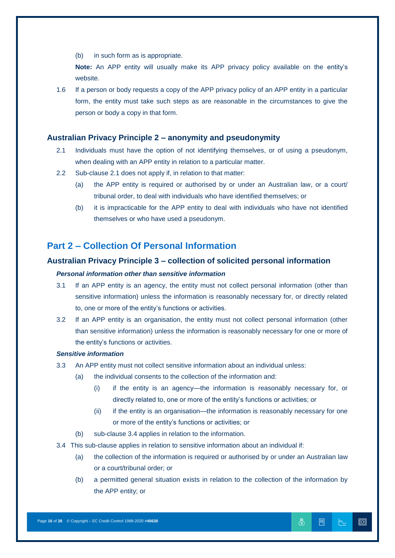(b) in such form as is appropriate.

**Note:** An APP entity will usually make its APP privacy policy available on the entity's website.

1.6 If a person or body requests a copy of the APP privacy policy of an APP entity in a particular form, the entity must take such steps as are reasonable in the circumstances to give the person or body a copy in that form.

#### **Australian Privacy Principle 2 – anonymity and pseudonymity**

- 2.1 Individuals must have the option of not identifying themselves, or of using a pseudonym, when dealing with an APP entity in relation to a particular matter.
- 2.2 Sub-clause 2.1 does not apply if, in relation to that matter:
	- (a) the APP entity is required or authorised by or under an Australian law, or a court/ tribunal order, to deal with individuals who have identified themselves; or
	- (b) it is impracticable for the APP entity to deal with individuals who have not identified themselves or who have used a pseudonym.

## **Part 2 – Collection Of Personal Information**

#### **Australian Privacy Principle 3 – collection of solicited personal information**

#### *Personal information other than sensitive information*

- 3.1 If an APP entity is an agency, the entity must not collect personal information (other than sensitive information) unless the information is reasonably necessary for, or directly related to, one or more of the entity's functions or activities.
- 3.2 If an APP entity is an organisation, the entity must not collect personal information (other than sensitive information) unless the information is reasonably necessary for one or more of the entity's functions or activities.

#### *Sensitive information*

- 3.3 An APP entity must not collect sensitive information about an individual unless:
	- (a) the individual consents to the collection of the information and:
		- (i) if the entity is an agency—the information is reasonably necessary for, or directly related to, one or more of the entity's functions or activities; or
		- (ii) if the entity is an organisation—the information is reasonably necessary for one or more of the entity's functions or activities; or
	- (b) sub-clause 3.4 applies in relation to the information.
- 3.4 This sub-clause applies in relation to sensitive information about an individual if:
	- (a) the collection of the information is required or authorised by or under an Australian law or a court/tribunal order; or
	- (b) a permitted general situation exists in relation to the collection of the information by the APP entity; or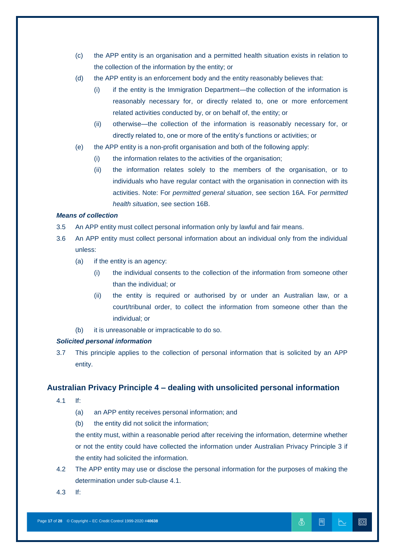- (c) the APP entity is an organisation and a permitted health situation exists in relation to the collection of the information by the entity; or
- (d) the APP entity is an enforcement body and the entity reasonably believes that:
	- (i) if the entity is the Immigration Department—the collection of the information is reasonably necessary for, or directly related to, one or more enforcement related activities conducted by, or on behalf of, the entity; or
	- (ii) otherwise—the collection of the information is reasonably necessary for, or directly related to, one or more of the entity's functions or activities; or
- (e) the APP entity is a non-profit organisation and both of the following apply:
	- (i) the information relates to the activities of the organisation;
	- (ii) the information relates solely to the members of the organisation, or to individuals who have regular contact with the organisation in connection with its activities. Note: For *permitted general situation*, see section 16A. For *permitted health situation*, see section 16B.

#### *Means of collection*

3.5 An APP entity must collect personal information only by lawful and fair means.

- 3.6 An APP entity must collect personal information about an individual only from the individual unless:
	- (a) if the entity is an agency:
		- (i) the individual consents to the collection of the information from someone other than the individual; or
		- (ii) the entity is required or authorised by or under an Australian law, or a court/tribunal order, to collect the information from someone other than the individual; or
	- (b) it is unreasonable or impracticable to do so.

#### *Solicited personal information*

3.7 This principle applies to the collection of personal information that is solicited by an APP entity.

#### **Australian Privacy Principle 4 – dealing with unsolicited personal information**

- 4.1 If:
	- (a) an APP entity receives personal information; and
	- (b) the entity did not solicit the information;

the entity must, within a reasonable period after receiving the information, determine whether or not the entity could have collected the information under Australian Privacy Principle 3 if the entity had solicited the information.

- 4.2 The APP entity may use or disclose the personal information for the purposes of making the determination under sub-clause 4.1.
- 4.3 If: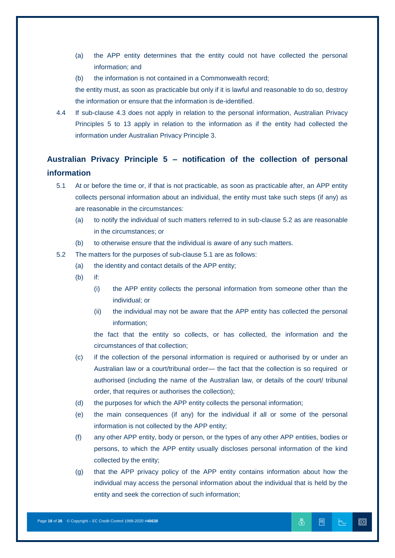- (a) the APP entity determines that the entity could not have collected the personal information; and
- (b) the information is not contained in a Commonwealth record;

the entity must, as soon as practicable but only if it is lawful and reasonable to do so, destroy the information or ensure that the information is de-identified.

4.4 If sub-clause 4.3 does not apply in relation to the personal information, Australian Privacy Principles 5 to 13 apply in relation to the information as if the entity had collected the information under Australian Privacy Principle 3.

## **Australian Privacy Principle 5 – notification of the collection of personal information**

- 5.1 At or before the time or, if that is not practicable, as soon as practicable after, an APP entity collects personal information about an individual, the entity must take such steps (if any) as are reasonable in the circumstances:
	- (a) to notify the individual of such matters referred to in sub-clause 5.2 as are reasonable in the circumstances; or
	- (b) to otherwise ensure that the individual is aware of any such matters.
- 5.2 The matters for the purposes of sub-clause 5.1 are as follows:
	- (a) the identity and contact details of the APP entity;
	- (b) if:
		- (i) the APP entity collects the personal information from someone other than the individual; or
		- (ii) the individual may not be aware that the APP entity has collected the personal information;

the fact that the entity so collects, or has collected, the information and the circumstances of that collection;

- (c) if the collection of the personal information is required or authorised by or under an Australian law or a court/tribunal order— the fact that the collection is so required or authorised (including the name of the Australian law, or details of the court/ tribunal order, that requires or authorises the collection);
- (d) the purposes for which the APP entity collects the personal information;
- (e) the main consequences (if any) for the individual if all or some of the personal information is not collected by the APP entity;
- (f) any other APP entity, body or person, or the types of any other APP entities, bodies or persons, to which the APP entity usually discloses personal information of the kind collected by the entity;
- (g) that the APP privacy policy of the APP entity contains information about how the individual may access the personal information about the individual that is held by the entity and seek the correction of such information;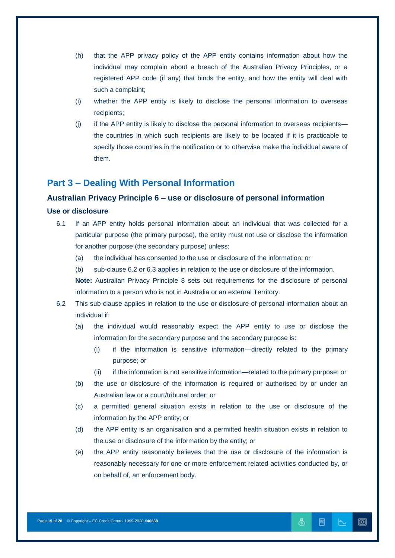- (h) that the APP privacy policy of the APP entity contains information about how the individual may complain about a breach of the Australian Privacy Principles, or a registered APP code (if any) that binds the entity, and how the entity will deal with such a complaint;
- (i) whether the APP entity is likely to disclose the personal information to overseas recipients;
- (i) if the APP entity is likely to disclose the personal information to overseas recipients the countries in which such recipients are likely to be located if it is practicable to specify those countries in the notification or to otherwise make the individual aware of them.

#### **Part 3 – Dealing With Personal Information**

#### **Australian Privacy Principle 6 – use or disclosure of personal information**

#### **Use or disclosure**

- 6.1 If an APP entity holds personal information about an individual that was collected for a particular purpose (the primary purpose), the entity must not use or disclose the information for another purpose (the secondary purpose) unless:
	- (a) the individual has consented to the use or disclosure of the information; or
	- (b) sub-clause 6.2 or 6.3 applies in relation to the use or disclosure of the information.

**Note:** Australian Privacy Principle 8 sets out requirements for the disclosure of personal information to a person who is not in Australia or an external Territory.

- 6.2 This sub-clause applies in relation to the use or disclosure of personal information about an individual if:
	- (a) the individual would reasonably expect the APP entity to use or disclose the information for the secondary purpose and the secondary purpose is:
		- (i) if the information is sensitive information—directly related to the primary purpose; or
		- (ii) if the information is not sensitive information—related to the primary purpose; or
	- (b) the use or disclosure of the information is required or authorised by or under an Australian law or a court/tribunal order; or
	- (c) a permitted general situation exists in relation to the use or disclosure of the information by the APP entity; or
	- (d) the APP entity is an organisation and a permitted health situation exists in relation to the use or disclosure of the information by the entity; or
	- (e) the APP entity reasonably believes that the use or disclosure of the information is reasonably necessary for one or more enforcement related activities conducted by, or on behalf of, an enforcement body.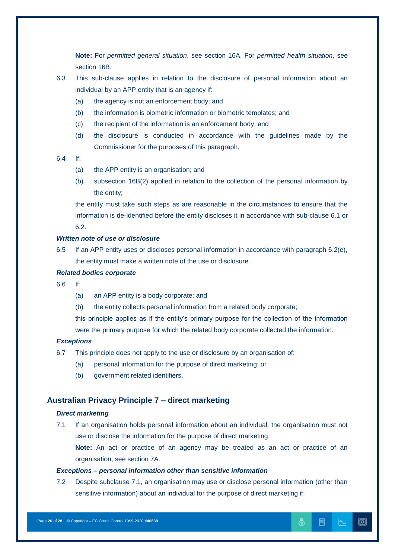**Note:** For *permitted general situation*, see section 16A. For *permitted health situation*, see section 16B.

- 6.3 This sub-clause applies in relation to the disclosure of personal information about an individual by an APP entity that is an agency if:
	- (a) the agency is not an enforcement body; and
	- (b) the information is biometric information or biometric templates; and
	- (c) the recipient of the information is an enforcement body; and
	- (d) the disclosure is conducted in accordance with the guidelines made by the Commissioner for the purposes of this paragraph.

6.4 If:

- (a) the APP entity is an organisation; and
- (b) subsection 16B(2) applied in relation to the collection of the personal information by the entity;

the entity must take such steps as are reasonable in the circumstances to ensure that the information is de-identified before the entity discloses it in accordance with sub-clause 6.1 or 6.2.

#### *Written note of use or disclosure*

6.5 If an APP entity uses or discloses personal information in accordance with paragraph 6.2(e), the entity must make a written note of the use or disclosure.

#### *Related bodies corporate*

- 6.6 If:
	- (a) an APP entity is a body corporate; and
	- (b) the entity collects personal information from a related body corporate;

this principle applies as if the entity's primary purpose for the collection of the information were the primary purpose for which the related body corporate collected the information.

#### *Exceptions*

- 6.7 This principle does not apply to the use or disclosure by an organisation of:
	- (a) personal information for the purpose of direct marketing; or
	- (b) government related identifiers.

#### **Australian Privacy Principle 7 – direct marketing**

#### *Direct marketing*

7.1 If an organisation holds personal information about an individual, the organisation must not use or disclose the information for the purpose of direct marketing.

**Note:** An act or practice of an agency may be treated as an act or practice of an organisation, see section 7A.

#### *Exceptions – personal information other than sensitive information*

7.2 Despite subclause 7.1, an organisation may use or disclose personal information (other than sensitive information) about an individual for the purpose of direct marketing if: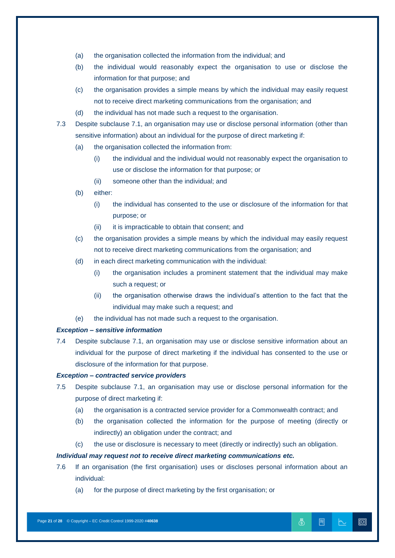- (a) the organisation collected the information from the individual; and
- (b) the individual would reasonably expect the organisation to use or disclose the information for that purpose; and
- (c) the organisation provides a simple means by which the individual may easily request not to receive direct marketing communications from the organisation; and
- (d) the individual has not made such a request to the organisation.
- 7.3 Despite subclause 7.1, an organisation may use or disclose personal information (other than sensitive information) about an individual for the purpose of direct marketing if:
	- (a) the organisation collected the information from:
		- (i) the individual and the individual would not reasonably expect the organisation to use or disclose the information for that purpose; or
		- (ii) someone other than the individual; and
	- (b) either:
		- (i) the individual has consented to the use or disclosure of the information for that purpose; or
		- (ii) it is impracticable to obtain that consent; and
	- (c) the organisation provides a simple means by which the individual may easily request not to receive direct marketing communications from the organisation; and
	- (d) in each direct marketing communication with the individual:
		- (i) the organisation includes a prominent statement that the individual may make such a request; or
		- (ii) the organisation otherwise draws the individual's attention to the fact that the individual may make such a request; and
	- (e) the individual has not made such a request to the organisation.

#### *Exception – sensitive information*

7.4 Despite subclause 7.1, an organisation may use or disclose sensitive information about an individual for the purpose of direct marketing if the individual has consented to the use or disclosure of the information for that purpose.

#### *Exception – contracted service providers*

- 7.5 Despite subclause 7.1, an organisation may use or disclose personal information for the purpose of direct marketing if:
	- (a) the organisation is a contracted service provider for a Commonwealth contract; and
	- (b) the organisation collected the information for the purpose of meeting (directly or indirectly) an obligation under the contract; and
	- (c) the use or disclosure is necessary to meet (directly or indirectly) such an obligation.

#### *Individual may request not to receive direct marketing communications etc.*

- 7.6 If an organisation (the first organisation) uses or discloses personal information about an individual:
	- (a) for the purpose of direct marketing by the first organisation; or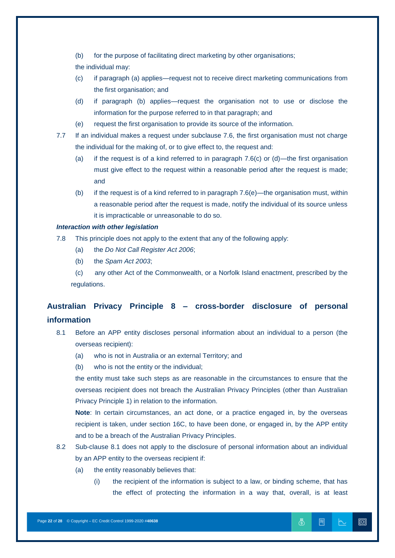(b) for the purpose of facilitating direct marketing by other organisations;

the individual may:

- (c) if paragraph (a) applies—request not to receive direct marketing communications from the first organisation; and
- (d) if paragraph (b) applies—request the organisation not to use or disclose the information for the purpose referred to in that paragraph; and
- (e) request the first organisation to provide its source of the information.
- 7.7 If an individual makes a request under subclause 7.6, the first organisation must not charge the individual for the making of, or to give effect to, the request and:
	- (a) if the request is of a kind referred to in paragraph 7.6(c) or  $(d)$ —the first organisation must give effect to the request within a reasonable period after the request is made; and
	- (b) if the request is of a kind referred to in paragraph  $7.6(e)$ —the organisation must, within a reasonable period after the request is made, notify the individual of its source unless it is impracticable or unreasonable to do so.

#### *Interaction with other legislation*

- 7.8 This principle does not apply to the extent that any of the following apply:
	- (a) the *Do Not Call Register Act 2006*;
	- (b) the *Spam Act 2003*;

(c) any other Act of the Commonwealth, or a Norfolk Island enactment, prescribed by the regulations.

## **Australian Privacy Principle 8 – cross-border disclosure of personal information**

- 8.1 Before an APP entity discloses personal information about an individual to a person (the overseas recipient):
	- (a) who is not in Australia or an external Territory; and
	- (b) who is not the entity or the individual;

the entity must take such steps as are reasonable in the circumstances to ensure that the overseas recipient does not breach the Australian Privacy Principles (other than Australian Privacy Principle 1) in relation to the information.

**Note**: In certain circumstances, an act done, or a practice engaged in, by the overseas recipient is taken, under section 16C, to have been done, or engaged in, by the APP entity and to be a breach of the Australian Privacy Principles.

- 8.2 Sub-clause 8.1 does not apply to the disclosure of personal information about an individual by an APP entity to the overseas recipient if:
	- (a) the entity reasonably believes that:
		- (i) the recipient of the information is subject to a law, or binding scheme, that has the effect of protecting the information in a way that, overall, is at least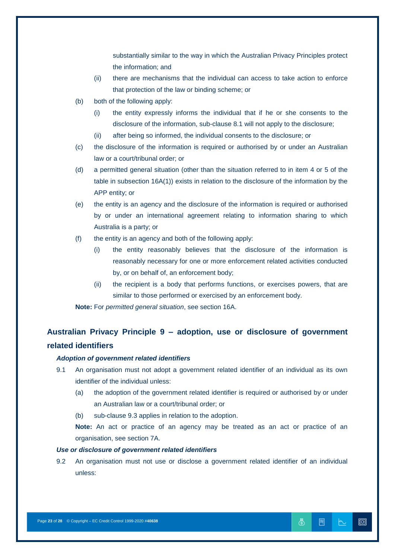substantially similar to the way in which the Australian Privacy Principles protect the information; and

- (ii) there are mechanisms that the individual can access to take action to enforce that protection of the law or binding scheme; or
- (b) both of the following apply:
	- (i) the entity expressly informs the individual that if he or she consents to the disclosure of the information, sub-clause 8.1 will not apply to the disclosure;
	- (ii) after being so informed, the individual consents to the disclosure; or
- (c) the disclosure of the information is required or authorised by or under an Australian law or a court/tribunal order; or
- (d) a permitted general situation (other than the situation referred to in item 4 or 5 of the table in subsection 16A(1)) exists in relation to the disclosure of the information by the APP entity; or
- (e) the entity is an agency and the disclosure of the information is required or authorised by or under an international agreement relating to information sharing to which Australia is a party; or
- (f) the entity is an agency and both of the following apply:
	- (i) the entity reasonably believes that the disclosure of the information is reasonably necessary for one or more enforcement related activities conducted by, or on behalf of, an enforcement body;
	- (ii) the recipient is a body that performs functions, or exercises powers, that are similar to those performed or exercised by an enforcement body.

**Note:** For *permitted general situation*, see section 16A.

## **Australian Privacy Principle 9 – adoption, use or disclosure of government related identifiers**

#### *Adoption of government related identifiers*

- 9.1 An organisation must not adopt a government related identifier of an individual as its own identifier of the individual unless:
	- (a) the adoption of the government related identifier is required or authorised by or under an Australian law or a court/tribunal order; or
	- (b) sub-clause 9.3 applies in relation to the adoption.

**Note:** An act or practice of an agency may be treated as an act or practice of an organisation, see section 7A.

#### *Use or disclosure of government related identifiers*

9.2 An organisation must not use or disclose a government related identifier of an individual unless: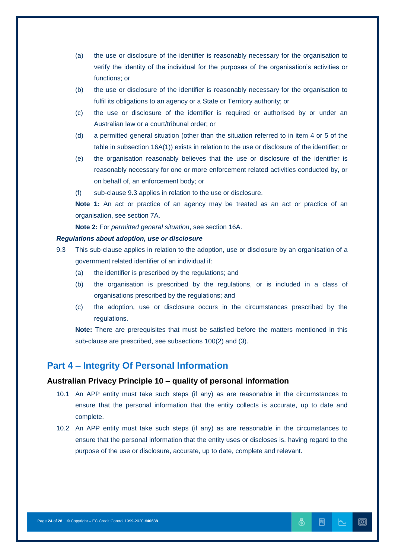- (a) the use or disclosure of the identifier is reasonably necessary for the organisation to verify the identity of the individual for the purposes of the organisation's activities or functions; or
- (b) the use or disclosure of the identifier is reasonably necessary for the organisation to fulfil its obligations to an agency or a State or Territory authority; or
- (c) the use or disclosure of the identifier is required or authorised by or under an Australian law or a court/tribunal order; or
- (d) a permitted general situation (other than the situation referred to in item 4 or 5 of the table in subsection 16A(1)) exists in relation to the use or disclosure of the identifier; or
- (e) the organisation reasonably believes that the use or disclosure of the identifier is reasonably necessary for one or more enforcement related activities conducted by, or on behalf of, an enforcement body; or
- (f) sub-clause 9.3 applies in relation to the use or disclosure.

**Note 1:** An act or practice of an agency may be treated as an act or practice of an organisation, see section 7A.

**Note 2:** For *permitted general situation*, see section 16A.

#### *Regulations about adoption, use or disclosure*

- 9.3 This sub-clause applies in relation to the adoption, use or disclosure by an organisation of a government related identifier of an individual if:
	- (a) the identifier is prescribed by the regulations; and
	- (b) the organisation is prescribed by the regulations, or is included in a class of organisations prescribed by the regulations; and
	- (c) the adoption, use or disclosure occurs in the circumstances prescribed by the regulations.

**Note:** There are prerequisites that must be satisfied before the matters mentioned in this sub-clause are prescribed, see subsections 100(2) and (3).

#### **Part 4 – Integrity Of Personal Information**

#### **Australian Privacy Principle 10 – quality of personal information**

- 10.1 An APP entity must take such steps (if any) as are reasonable in the circumstances to ensure that the personal information that the entity collects is accurate, up to date and complete.
- 10.2 An APP entity must take such steps (if any) as are reasonable in the circumstances to ensure that the personal information that the entity uses or discloses is, having regard to the purpose of the use or disclosure, accurate, up to date, complete and relevant.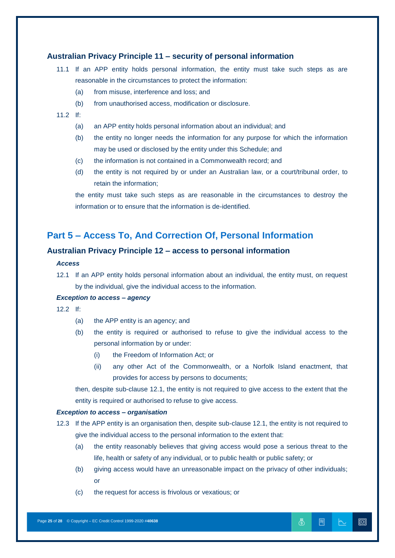#### **Australian Privacy Principle 11 – security of personal information**

- 11.1 If an APP entity holds personal information, the entity must take such steps as are reasonable in the circumstances to protect the information:
	- (a) from misuse, interference and loss; and
	- (b) from unauthorised access, modification or disclosure.
- 11.2 If:
	- (a) an APP entity holds personal information about an individual; and
	- (b) the entity no longer needs the information for any purpose for which the information may be used or disclosed by the entity under this Schedule; and
	- (c) the information is not contained in a Commonwealth record; and
	- (d) the entity is not required by or under an Australian law, or a court/tribunal order, to retain the information;

the entity must take such steps as are reasonable in the circumstances to destroy the information or to ensure that the information is de-identified.

#### **Part 5 – Access To, And Correction Of, Personal Information**

#### **Australian Privacy Principle 12 – access to personal information**

#### *Access*

12.1 If an APP entity holds personal information about an individual, the entity must, on request by the individual, give the individual access to the information.

#### *Exception to access – agency*

- 12.2 If:
	- (a) the APP entity is an agency; and
	- (b) the entity is required or authorised to refuse to give the individual access to the personal information by or under:
		- (i) the Freedom of Information Act; or
		- (ii) any other Act of the Commonwealth, or a Norfolk Island enactment, that provides for access by persons to documents;

then, despite sub-clause 12.1, the entity is not required to give access to the extent that the entity is required or authorised to refuse to give access.

#### *Exception to access – organisation*

- 12.3 If the APP entity is an organisation then, despite sub-clause 12.1, the entity is not required to give the individual access to the personal information to the extent that:
	- (a) the entity reasonably believes that giving access would pose a serious threat to the life, health or safety of any individual, or to public health or public safety; or
	- (b) giving access would have an unreasonable impact on the privacy of other individuals; or
	- (c) the request for access is frivolous or vexatious; or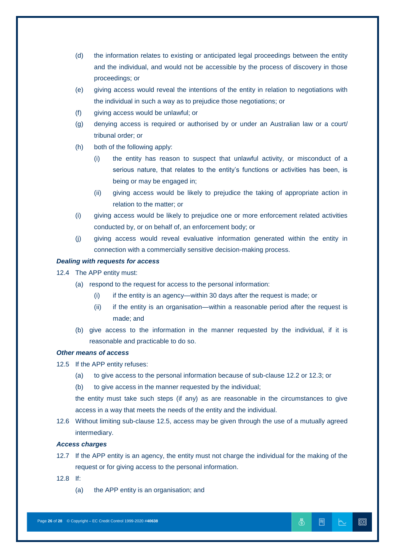- (d) the information relates to existing or anticipated legal proceedings between the entity and the individual, and would not be accessible by the process of discovery in those proceedings; or
- (e) giving access would reveal the intentions of the entity in relation to negotiations with the individual in such a way as to prejudice those negotiations; or
- (f) giving access would be unlawful; or
- (g) denying access is required or authorised by or under an Australian law or a court/ tribunal order; or
- (h) both of the following apply:
	- (i) the entity has reason to suspect that unlawful activity, or misconduct of a serious nature, that relates to the entity's functions or activities has been, is being or may be engaged in;
	- (ii) giving access would be likely to prejudice the taking of appropriate action in relation to the matter; or
- (i) giving access would be likely to prejudice one or more enforcement related activities conducted by, or on behalf of, an enforcement body; or
- (j) giving access would reveal evaluative information generated within the entity in connection with a commercially sensitive decision-making process.

#### *Dealing with requests for access*

- 12.4 The APP entity must:
	- (a) respond to the request for access to the personal information:
		- (i) if the entity is an agency—within 30 days after the request is made; or
		- (ii) if the entity is an organisation—within a reasonable period after the request is made; and
	- (b) give access to the information in the manner requested by the individual, if it is reasonable and practicable to do so.

#### *Other means of access*

- 12.5 If the APP entity refuses:
	- (a) to give access to the personal information because of sub-clause 12.2 or 12.3; or
	- (b) to give access in the manner requested by the individual;

the entity must take such steps (if any) as are reasonable in the circumstances to give access in a way that meets the needs of the entity and the individual.

12.6 Without limiting sub-clause 12.5, access may be given through the use of a mutually agreed intermediary.

#### *Access charges*

- 12.7 If the APP entity is an agency, the entity must not charge the individual for the making of the request or for giving access to the personal information.
- 12.8 If:
	- (a) the APP entity is an organisation; and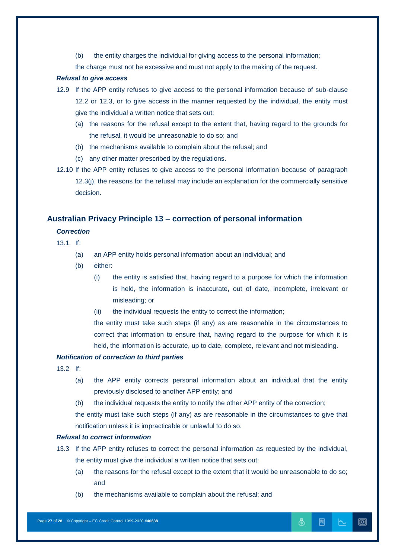(b) the entity charges the individual for giving access to the personal information; the charge must not be excessive and must not apply to the making of the request.

#### *Refusal to give access*

- 12.9 If the APP entity refuses to give access to the personal information because of sub-clause 12.2 or 12.3, or to give access in the manner requested by the individual, the entity must give the individual a written notice that sets out:
	- (a) the reasons for the refusal except to the extent that, having regard to the grounds for the refusal, it would be unreasonable to do so; and
	- (b) the mechanisms available to complain about the refusal; and
	- (c) any other matter prescribed by the regulations.
- 12.10 If the APP entity refuses to give access to the personal information because of paragraph 12.3(j), the reasons for the refusal may include an explanation for the commercially sensitive decision.

#### **Australian Privacy Principle 13 – correction of personal information**

#### *Correction*

- 13.1 If:
	- (a) an APP entity holds personal information about an individual; and
	- (b) either:
		- (i) the entity is satisfied that, having regard to a purpose for which the information is held, the information is inaccurate, out of date, incomplete, irrelevant or misleading; or
		- (ii) the individual requests the entity to correct the information;

the entity must take such steps (if any) as are reasonable in the circumstances to correct that information to ensure that, having regard to the purpose for which it is held, the information is accurate, up to date, complete, relevant and not misleading.

#### *Notification of correction to third parties*

- 13.2 If:
	- (a) the APP entity corrects personal information about an individual that the entity previously disclosed to another APP entity; and
	- (b) the individual requests the entity to notify the other APP entity of the correction;

the entity must take such steps (if any) as are reasonable in the circumstances to give that notification unless it is impracticable or unlawful to do so.

#### *Refusal to correct information*

- 13.3 If the APP entity refuses to correct the personal information as requested by the individual, the entity must give the individual a written notice that sets out:
	- (a) the reasons for the refusal except to the extent that it would be unreasonable to do so; and
	- (b) the mechanisms available to complain about the refusal; and